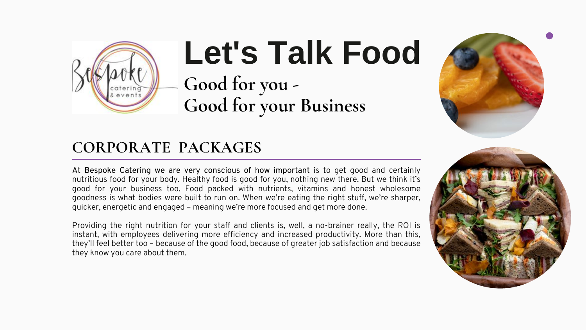

# **Let's Talk Food** Good for you -Good for your Business

## CORPORATE PACKAGES

At Bespoke Catering we are very conscious of how important is to get good and certainly nutritious food for your body. Healthy food is good for you, nothing new there. But we think it's good for your business too. Food packed with nutrients, vitamins and honest wholesome goodness is what bodies were built to run on. When we're eating the right stuff, we're sharper, quicker, energetic and engaged - meaning we're more focused and get more done.

Providing the right nutrition for your staff and clients is, well, a no-brainer really, the ROI is instant, with employees delivering more efficiency and increased productivity. More than this, they'll feel better too - because of the good food, because of greater job satisfaction and because they know you care about them.



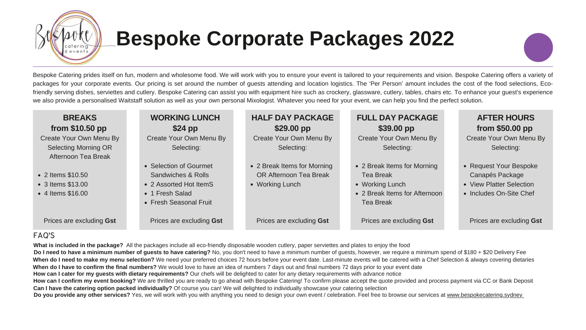

# **Bespoke Corporate Packages 2022**

Bespoke Catering prides itself on fun, modern and wholesome food. We will work with you to ensure your event is tailored to your requirements and vision. Bespoke Catering offers a variety of packages for your corporate events. Our pricing is set around the number of guests attending and location logistics. The 'Per Person' amount includes the cost of the food selections, Ecofriendly serving dishes, serviettes and cutlery. Bespoke Catering can assist you with equipment hire such as crockery, glassware, cutlery, tables, chairs etc. To enhance your guest's experience we also provide a personalised Waitstaff solution as well as your own personal Mixologist. Whatever you need for your event, we can help you find the perfect solution.

| <b>BREAKS</b><br>from \$10.50 pp                                              | <b>WORKING LUNCH</b><br>$$24$ pp                                                                                               | <b>HALF DAY PACKAGE</b><br>\$29.00 pp                                    | <b>FU</b>                                           |
|-------------------------------------------------------------------------------|--------------------------------------------------------------------------------------------------------------------------------|--------------------------------------------------------------------------|-----------------------------------------------------|
| Create Your Own Menu By<br><b>Selecting Morning OR</b><br>Afternoon Tea Break | Create Your Own Menu By<br>Selecting:                                                                                          | Create Your Own Menu By<br>Selecting:                                    | Cr <sub>f</sub>                                     |
| • 2 Items \$10.50<br>• 3 Items \$13.00<br>• 4 Items \$16.00                   | • Selection of Gourmet<br><b>Sandwiches &amp; Rolls</b><br>• 2 Assorted Hot ItemS<br>• 1 Fresh Salad<br>• Fresh Seasonal Fruit | • 2 Break Items for Morning<br>OR Afternoon Tea Break<br>• Working Lunch | $\bullet$ 2<br>T<br>$\bullet$ W<br>$\bullet$ 2<br>T |
| Prices are excluding Gst                                                      | Prices are excluding Gst                                                                                                       | Prices are excluding Gst                                                 | P <sub>1</sub>                                      |

### **FAQ'S**

What is included in the package? All the packages include all eco-friendly disposable wooden cutlery, paper serviettes and plates to enjoy the food Do I need to have a minimum number of guests to have catering? No, you don't need to have a minimum number of guests, however, we require a minimum spend of \$180 + \$20 Delivery Fee When do I need to make my menu selection? We need your preferred choices 72 hours before your event date. Last-minute events will be catered with a Chef Selection & always covering dietaries When do I have to confirm the final numbers? We would love to have an idea of numbers 7 days out and final numbers 72 days prior to your event date How can I cater for my guests with dietary requirements? Our chefs will be delighted to cater for any dietary requirements with advance notice How can I confirm my event booking? We are thrilled you are ready to go ahead with Bespoke Catering! To confirm please accept the quote provided and process payment via CC or Bank Deposit Can I have the catering option packed individually? Of course you can! We will delighted to individually showcase your catering selection Do you provide any other services? Yes, we will work with you with anything you need to design your own event / celebration. Feel free to browse our services at www.bespokecatering.sydney

### **ILL DAY PACKAGE** \$39.00 pp

eate Your Own Menu By Selecting:

**Break Items for Morning** ea Break **/orking Lunch Break Items for Afternoon** ea Break

rices are excluding **Gst** 

### **AFTER HOURS** from \$50.00 pp

Create Your Own Menu By Selecting:

- Request Your Bespoke Canapés Package
- View Platter Selection
- Includes On-Site Chef

Prices are excluding Gst

- 
- 
- 
- 
-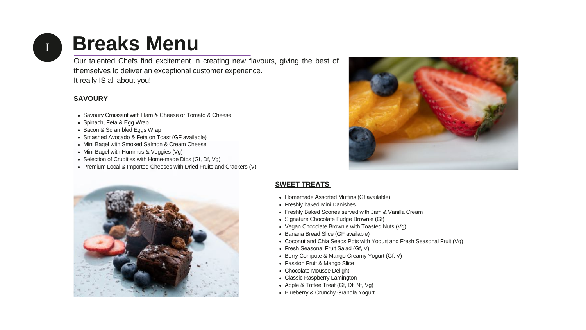

# **Breaks Menu**

Our talented Chefs find excitement in creating new flavours, giving the best of themselves to deliver an exceptional customer experience. It really IS all about you!

### **SAVOURY**

- Savoury Croissant with Ham & Cheese or Tomato & Cheese
- Spinach, Feta & Egg Wrap
- Bacon & Scrambled Eggs Wrap
- Smashed Avocado & Feta on Toast (GF available)
- Mini Bagel with Smoked Salmon & Cream Cheese
- Mini Bagel with Hummus & Veggies (Vg)
- Selection of Crudities with Home-made Dips (Gf, Df, Vg)
- Premium Local & Imported Cheeses with Dried Fruits and Crackers (V)



### **SWEET TREATS**

- Homemade Assorted Muffins (Gf available)
- Freshly baked Mini Danishes
- Freshly Baked Scones served with Jam & Vanilla Cream
- Signature Chocolate Fudge Brownie (Gf)
- Vegan Chocolate Brownie with Toasted Nuts (Vg)
- Banana Bread Slice (GF available)
- 
- Fresh Seasonal Fruit Salad (Gf, V)
- Berry Compote & Mango Creamy Yogurt (Gf, V)
- Passion Fruit & Mango Slice
- Chocolate Mousse Delight
- Classic Raspberry Lamington
- Apple & Toffee Treat (Gf, Df, Nf, Vg)
- Blueberry & Crunchy Granola Yogurt



```
• Coconut and Chia Seeds Pots with Yogurt and Fresh Seasonal Fruit (Vg)
```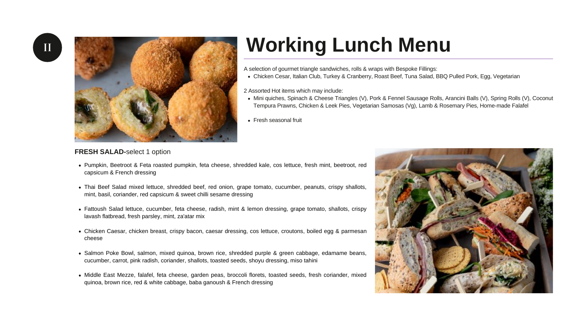$\begin{array}{|c|c|} \hline \quad \quad & \quad \quad & \quad \quad & \quad \quad & \quad \quad \\ \hline \end{array}$ 



# **Working Lunch Menu**

A selection of gourmet triangle sandwiches, rolls & wraps with Bespoke Fillings:

- 
- 2 Assorted Hot items which may include:
	-
- Fresh seasonal fruit

### **FRESH SALAD-select 1 option**

- Pumpkin, Beetroot & Feta roasted pumpkin, feta cheese, shredded kale, cos lettuce, fresh mint, beetroot, red capsicum & French dressing
- Thai Beef Salad mixed lettuce, shredded beef, red onion, grape tomato, cucumber, peanuts, crispy shallots, mint, basil, coriander, red capsicum & sweet chilli sesame dressing
- Fattoush Salad lettuce, cucumber, feta cheese, radish, mint & lemon dressing, grape tomato, shallots, crispy lavash flatbread, fresh parsley, mint, za'atar mix
- Chicken Caesar, chicken breast, crispy bacon, caesar dressing, cos lettuce, croutons, boiled egg & parmesan cheese
- · Salmon Poke Bowl, salmon, mixed quinoa, brown rice, shredded purple & green cabbage, edamame beans, cucumber, carrot, pink radish, coriander, shallots, toasted seeds, shoyu dressing, miso tahini
- · Middle East Mezze, falafel, feta cheese, garden peas, broccoli florets, toasted seeds, fresh coriander, mixed quinoa, brown rice, red & white cabbage, baba ganoush & French dressing

• Chicken Cesar, Italian Club, Turkey & Cranberry, Roast Beef, Tuna Salad, BBQ Pulled Pork, Egg, Vegetarian

• Mini quiches, Spinach & Cheese Triangles (V), Pork & Fennel Sausage Rolls, Arancini Balls (V), Spring Rolls (V), Coconut Tempura Prawns, Chicken & Leek Pies, Vegetarian Samosas (Vg), Lamb & Rosemary Pies, Home-made Falafel